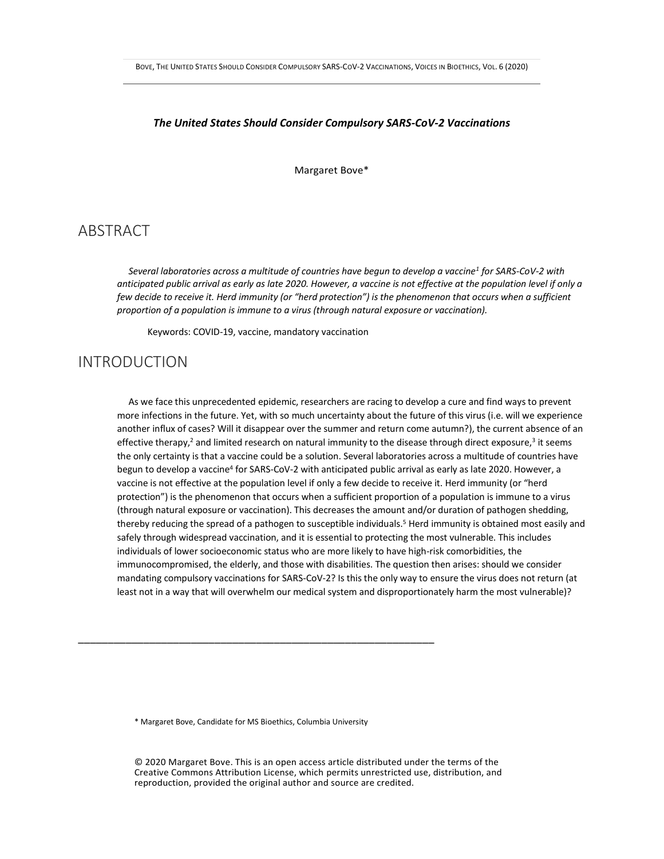#### *The United States Should Consider Compulsory SARS-CoV-2 Vaccinations*

Margaret Bove\*

## ABSTRACT

 *Several laboratories across a multitude of countries have begun to develop a vaccine<sup>1</sup> for SARS-CoV-2 with anticipated public arrival as early as late 2020. However, a vaccine is not effective at the population level if only a few decide to receive it. Herd immunity (or "herd protection") is the phenomenon that occurs when a sufficient proportion of a population is immune to a virus (through natural exposure or vaccination).*

Keywords: COVID-19, vaccine, mandatory vaccination

### INTRODUCTION

 As we face this unprecedented epidemic, researchers are racing to develop a cure and find ways to prevent more infections in the future. Yet, with so much uncertainty about the future of this virus (i.e. will we experience another influx of cases? Will it disappear over the summer and return come autumn?), the current absence of an effective therapy,<sup>2</sup> and limited research on natural immunity to the disease through direct exposure,<sup>3</sup> it seems the only certainty is that a vaccine could be a solution. Several laboratories across a multitude of countries have begun to develop a vaccine<sup>4</sup> for SARS-CoV-2 with anticipated public arrival as early as late 2020. However, a vaccine is not effective at the population level if only a few decide to receive it. Herd immunity (or "herd protection") is the phenomenon that occurs when a sufficient proportion of a population is immune to a virus (through natural exposure or vaccination). This decreases the amount and/or duration of pathogen shedding, thereby reducing the spread of a pathogen to susceptible individuals.<sup>5</sup> Herd immunity is obtained most easily and safely through widespread vaccination, and it is essential to protecting the most vulnerable. This includes individuals of lower socioeconomic status who are more likely to have high-risk comorbidities, the immunocompromised, the elderly, and those with disabilities. The question then arises: should we consider mandating compulsory vaccinations for SARS-CoV-2? Is this the only way to ensure the virus does not return (at least not in a way that will overwhelm our medical system and disproportionately harm the most vulnerable)?

\* Margaret Bove, Candidate for MS Bioethics, Columbia University

\_\_\_\_\_\_\_\_\_\_\_\_\_\_\_\_\_\_\_\_\_\_\_\_\_\_\_\_\_\_\_\_\_\_\_\_\_\_\_\_\_\_\_\_\_\_\_\_\_\_\_\_\_\_\_\_\_\_\_\_

© 2020 Margaret Bove. This is an open access article distributed under the terms of the Creative Commons Attribution License, which permits unrestricted use, distribution, and reproduction, provided the original author and source are credited.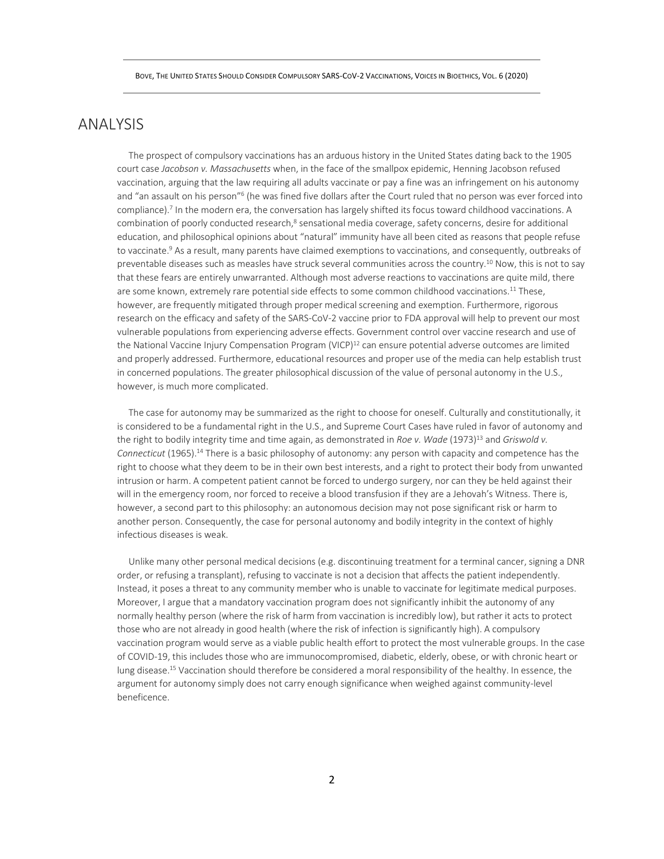### ANALYSIS

 The prospect of compulsory vaccinations has an arduous history in the United States dating back to the 1905 court case *Jacobson v. Massachusetts* when, in the face of the smallpox epidemic, Henning Jacobson refused vaccination, arguing that the law requiring all adults vaccinate or pay a fine was an infringement on his autonomy and "an assault on his person"<sup>6</sup> (he was fined five dollars after the Court ruled that no person was ever forced into compliance).<sup>7</sup> In the modern era, the conversation has largely shifted its focus toward childhood vaccinations. A combination of poorly conducted research,<sup>8</sup> sensational media coverage, safety concerns, desire for additional education, and philosophical opinions about "natural" immunity have all been cited as reasons that people refuse to vaccinate.<sup>9</sup> As a result, many parents have claimed exemptions to vaccinations, and consequently, outbreaks of preventable diseases such as measles have struck several communities across the country.<sup>10</sup> Now, this is not to say that these fears are entirely unwarranted. Although most adverse reactions to vaccinations are quite mild, there are some known, extremely rare potential side effects to some common childhood vaccinations.<sup>11</sup> These, however, are frequently mitigated through proper medical screening and exemption. Furthermore, rigorous research on the efficacy and safety of the SARS-CoV-2 vaccine prior to FDA approval will help to prevent our most vulnerable populations from experiencing adverse effects. Government control over vaccine research and use of the National Vaccine Injury Compensation Program (VICP)<sup>12</sup> can ensure potential adverse outcomes are limited and properly addressed. Furthermore, educational resources and proper use of the media can help establish trust in concerned populations. The greater philosophical discussion of the value of personal autonomy in the U.S., however, is much more complicated.

 The case for autonomy may be summarized as the right to choose for oneself. Culturally and constitutionally, it is considered to be a fundamental right in the U.S., and Supreme Court Cases have ruled in favor of autonomy and the right to bodily integrity time and time again, as demonstrated in *Roe v. Wade* (1973)<sup>13</sup> and *Griswold v. Connecticut* (1965).<sup>14</sup> There is a basic philosophy of autonomy: any person with capacity and competence has the right to choose what they deem to be in their own best interests, and a right to protect their body from unwanted intrusion or harm. A competent patient cannot be forced to undergo surgery, nor can they be held against their will in the emergency room, nor forced to receive a blood transfusion if they are a Jehovah's Witness. There is, however, a second part to this philosophy: an autonomous decision may not pose significant risk or harm to another person. Consequently, the case for personal autonomy and bodily integrity in the context of highly infectious diseases is weak.

 Unlike many other personal medical decisions (e.g. discontinuing treatment for a terminal cancer, signing a DNR order, or refusing a transplant), refusing to vaccinate is not a decision that affects the patient independently. Instead, it poses a threat to any community member who is unable to vaccinate for legitimate medical purposes. Moreover, I argue that a mandatory vaccination program does not significantly inhibit the autonomy of any normally healthy person (where the risk of harm from vaccination is incredibly low), but rather it acts to protect those who are not already in good health (where the risk of infection is significantly high). A compulsory vaccination program would serve as a viable public health effort to protect the most vulnerable groups. In the case of COVID-19, this includes those who are immunocompromised, diabetic, elderly, obese, or with chronic heart or lung disease.<sup>15</sup> Vaccination should therefore be considered a moral responsibility of the healthy. In essence, the argument for autonomy simply does not carry enough significance when weighed against community-level beneficence.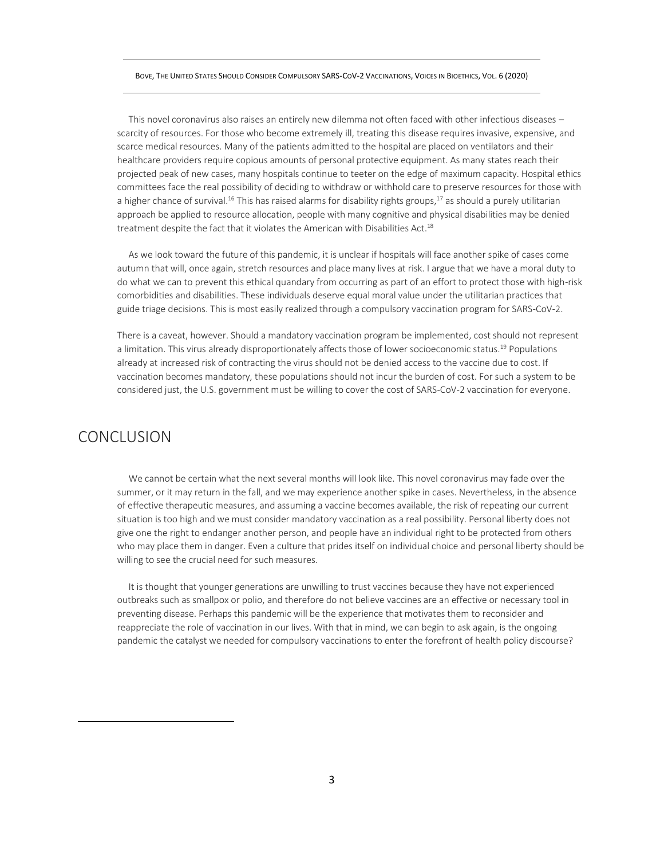#### BOVE, THE UNITED STATES SHOULD CONSIDER COMPULSORY SARS-COV-2 VACCINATIONS, VOICES IN BIOETHICS, VOL. 6 (2020)

 This novel coronavirus also raises an entirely new dilemma not often faced with other infectious diseases – scarcity of resources. For those who become extremely ill, treating this disease requires invasive, expensive, and scarce medical resources. Many of the patients admitted to the hospital are placed on ventilators and their healthcare providers require copious amounts of personal protective equipment. As many states reach their projected peak of new cases, many hospitals continue to teeter on the edge of maximum capacity. Hospital ethics committees face the real possibility of deciding to withdraw or withhold care to preserve resources for those with a higher chance of survival.<sup>16</sup> This has raised alarms for disability rights groups,<sup>17</sup> as should a purely utilitarian approach be applied to resource allocation, people with many cognitive and physical disabilities may be denied treatment despite the fact that it violates the American with Disabilities Act.<sup>18</sup>

 As we look toward the future of this pandemic, it is unclear if hospitals will face another spike of cases come autumn that will, once again, stretch resources and place many lives at risk. I argue that we have a moral duty to do what we can to prevent this ethical quandary from occurring as part of an effort to protect those with high-risk comorbidities and disabilities. These individuals deserve equal moral value under the utilitarian practices that guide triage decisions. This is most easily realized through a compulsory vaccination program for SARS-CoV-2.

There is a caveat, however. Should a mandatory vaccination program be implemented, cost should not represent a limitation. This virus already disproportionately affects those of lower socioeconomic status.<sup>19</sup> Populations already at increased risk of contracting the virus should not be denied access to the vaccine due to cost. If vaccination becomes mandatory, these populations should not incur the burden of cost. For such a system to be considered just, the U.S. government must be willing to cover the cost of SARS-CoV-2 vaccination for everyone.

# **CONCLUSION**

 We cannot be certain what the next several months will look like. This novel coronavirus may fade over the summer, or it may return in the fall, and we may experience another spike in cases. Nevertheless, in the absence of effective therapeutic measures, and assuming a vaccine becomes available, the risk of repeating our current situation is too high and we must consider mandatory vaccination as a real possibility. Personal liberty does not give one the right to endanger another person, and people have an individual right to be protected from others who may place them in danger. Even a culture that prides itself on individual choice and personal liberty should be willing to see the crucial need for such measures.

 It is thought that younger generations are unwilling to trust vaccines because they have not experienced outbreaks such as smallpox or polio, and therefore do not believe vaccines are an effective or necessary tool in preventing disease. Perhaps this pandemic will be the experience that motivates them to reconsider and reappreciate the role of vaccination in our lives. With that in mind, we can begin to ask again, is the ongoing pandemic the catalyst we needed for compulsory vaccinations to enter the forefront of health policy discourse?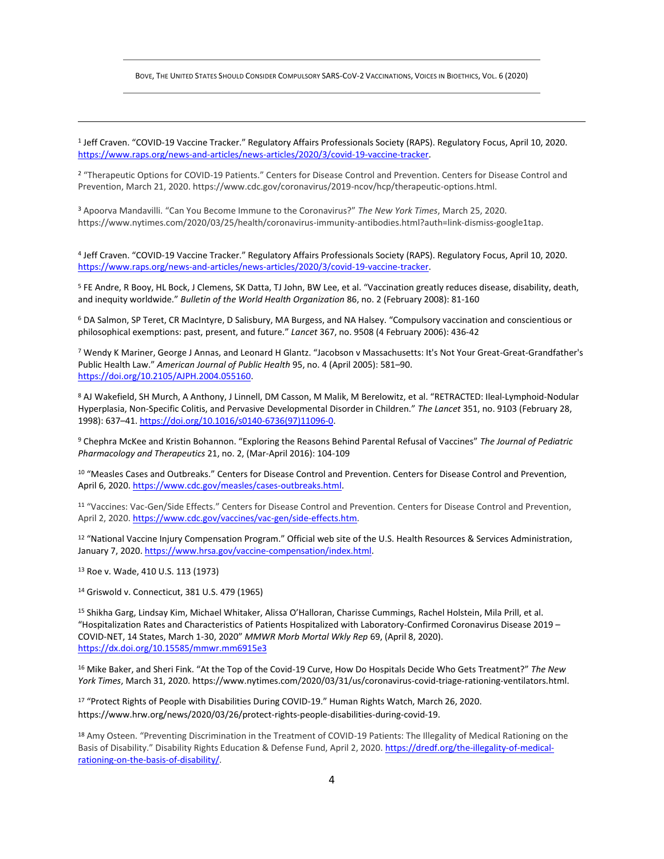BOVE, THE UNITED STATES SHOULD CONSIDER COMPULSORY SARS-COV-2 VACCINATIONS, VOICES IN BIOETHICS, VOL. 6 (2020)

1 Jeff Craven. "COVID-19 Vaccine Tracker." Regulatory Affairs Professionals Society (RAPS). Regulatory Focus, April 10, 2020. [https://www.raps.org/news-and-articles/news-articles/2020/3/covid-19-vaccine-tracker.](https://www.raps.org/news-and-articles/news-articles/2020/3/covid-19-vaccine-tracker)

<sup>2</sup> "Therapeutic Options for COVID-19 Patients." Centers for Disease Control and Prevention. Centers for Disease Control and Prevention, March 21, 2020. https://www.cdc.gov/coronavirus/2019-ncov/hcp/therapeutic-options.html.

<sup>3</sup> Apoorva Mandavilli. "Can You Become Immune to the Coronavirus?" *The New York Times*, March 25, 2020. https://www.nytimes.com/2020/03/25/health/coronavirus-immunity-antibodies.html?auth=link-dismiss-google1tap.

4 Jeff Craven. "COVID-19 Vaccine Tracker." Regulatory Affairs Professionals Society (RAPS). Regulatory Focus, April 10, 2020. [https://www.raps.org/news-and-articles/news-articles/2020/3/covid-19-vaccine-tracker.](https://www.raps.org/news-and-articles/news-articles/2020/3/covid-19-vaccine-tracker)

<sup>5</sup> FE Andre, R Booy, HL Bock, J Clemens, SK Datta, TJ John, BW Lee, et al. "Vaccination greatly reduces disease, disability, death, and inequity worldwide." *Bulletin of the World Health Organization* 86, no. 2 (February 2008): 81-160

<sup>6</sup> DA Salmon, SP Teret, CR MacIntyre, D Salisbury, MA Burgess, and NA Halsey. "Compulsory vaccination and conscientious or philosophical exemptions: past, present, and future." *Lancet* 367, no. 9508 (4 February 2006): 436-42

<sup>7</sup> Wendy K Mariner, George J Annas, and Leonard H Glantz. "Jacobson v Massachusetts: It's Not Your Great-Great-Grandfather's Public Health Law." *American Journal of Public Health* 95, no. 4 (April 2005): 581–90. [https://doi.org/10.2105/AJPH.2004.055160.](https://doi.org/10.2105/AJPH.2004.055160)

8 AJ Wakefield, SH Murch, A Anthony, J Linnell, DM Casson, M Malik, M Berelowitz, et al. "RETRACTED: Ileal-Lymphoid-Nodular Hyperplasia, Non-Specific Colitis, and Pervasive Developmental Disorder in Children." *The Lancet* 351, no. 9103 (February 28, 1998): 637–41. [https://doi.org/10.1016/s0140-6736\(97\)11096-0.](https://doi.org/10.1016/s0140-6736(97)11096-0)

<sup>9</sup> Chephra McKee and Kristin Bohannon. "Exploring the Reasons Behind Parental Refusal of Vaccines" *The Journal of Pediatric Pharmacology and Therapeutics* 21, no. 2, (Mar-April 2016): 104-109

<sup>10</sup> "Measles Cases and Outbreaks." Centers for Disease Control and Prevention. Centers for Disease Control and Prevention, April 6, 2020[. https://www.cdc.gov/measles/cases-outbreaks.html.](https://www.cdc.gov/measles/cases-outbreaks.html)

<sup>11</sup> "Vaccines: Vac-Gen/Side Effects." Centers for Disease Control and Prevention. Centers for Disease Control and Prevention, April 2, 2020[. https://www.cdc.gov/vaccines/vac-gen/side-effects.htm.](https://www.cdc.gov/vaccines/vac-gen/side-effects.htm)

<sup>12</sup> "National Vaccine Injury Compensation Program." Official web site of the U.S. Health Resources & Services Administration, January 7, 2020[. https://www.hrsa.gov/vaccine-compensation/index.html.](https://www.hrsa.gov/vaccine-compensation/index.html)

<sup>13</sup> Roe v. Wade, 410 U.S. 113 (1973)

<sup>14</sup> Griswold v. Connecticut, 381 U.S. 479 (1965)

<sup>15</sup> Shikha Garg, Lindsay Kim, Michael Whitaker, Alissa O'Halloran, Charisse Cummings, Rachel Holstein, Mila Prill, et al. "Hospitalization Rates and Characteristics of Patients Hospitalized with Laboratory-Confirmed Coronavirus Disease 2019 – COVID-NET, 14 States, March 1-30, 2020" *MMWR Morb Mortal Wkly Rep* 69, (April 8, 2020). <https://dx.doi.org/10.15585/mmwr.mm6915e3>

<sup>16</sup> Mike Baker, and Sheri Fink. "At the Top of the Covid-19 Curve, How Do Hospitals Decide Who Gets Treatment?" *The New York Times*, March 31, 2020. https://www.nytimes.com/2020/03/31/us/coronavirus-covid-triage-rationing-ventilators.html.

<sup>17</sup> "Protect Rights of People with Disabilities During COVID-19." Human Rights Watch, March 26, 2020. https://www.hrw.org/news/2020/03/26/protect-rights-people-disabilities-during-covid-19.

18 Amy Osteen. "Preventing Discrimination in the Treatment of COVID-19 Patients: The Illegality of Medical Rationing on the Basis of Disability." Disability Rights Education & Defense Fund, April 2, 2020. [https://dredf.org/the-illegality-of-medical](https://dredf.org/the-illegality-of-medical-rationing-on-the-basis-of-disability/)[rationing-on-the-basis-of-disability/.](https://dredf.org/the-illegality-of-medical-rationing-on-the-basis-of-disability/)